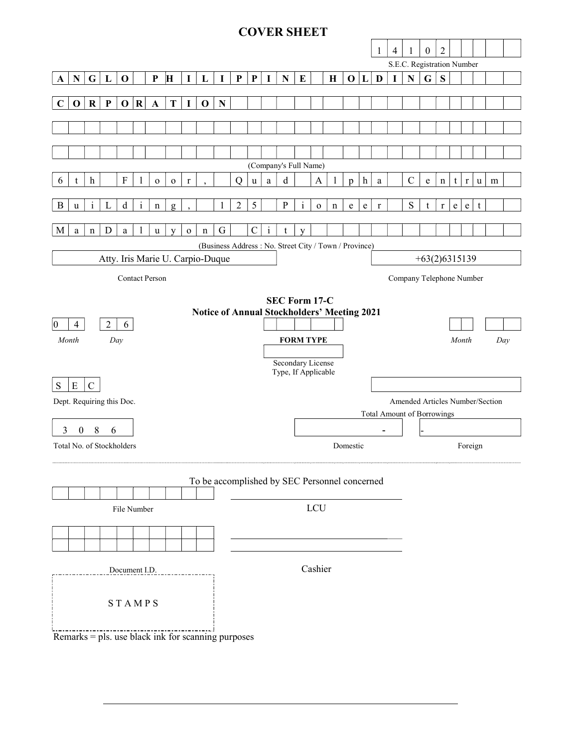# COVER SHEET

|                                                                     |                                                       |              |              |                           |              |              |              |                  |             |                                   |                |             |              | . <b></b>                                     |              |              |             |                 |              |                          |                |                                 |                  |                |   |                |              |   |  |
|---------------------------------------------------------------------|-------------------------------------------------------|--------------|--------------|---------------------------|--------------|--------------|--------------|------------------|-------------|-----------------------------------|----------------|-------------|--------------|-----------------------------------------------|--------------|--------------|-------------|-----------------|--------------|--------------------------|----------------|---------------------------------|------------------|----------------|---|----------------|--------------|---|--|
|                                                                     |                                                       |              |              |                           |              |              |              |                  |             |                                   |                |             |              |                                               |              |              |             |                 |              | -1                       | $\overline{4}$ | 1                               | $\boldsymbol{0}$ | $\overline{2}$ |   |                |              |   |  |
|                                                                     |                                                       |              |              |                           |              |              |              |                  |             |                                   |                |             |              |                                               |              |              |             |                 |              |                          |                | S.E.C. Registration Number      |                  |                |   |                |              |   |  |
|                                                                     | $\mathbf N$                                           | G            | $\mathbf{L}$ | $\mathbf 0$               |              | ${\bf P}$    | H            | $\mathbf I$      | $\mathbf L$ | $\bf{I}$                          | $\mathbf P$    | ${\bf P}$   | $\mathbf I$  | ${\bf N}$                                     | ${\bf E}$    |              | $\mathbf H$ | 0               | $\mathbf{L}$ | D                        | $\mathbf I$    | $\mathbf{N}$                    | $\mathbf G$      | S              |   |                |              |   |  |
| A                                                                   |                                                       |              |              |                           |              |              |              |                  |             |                                   |                |             |              |                                               |              |              |             |                 |              |                          |                |                                 |                  |                |   |                |              |   |  |
| $\mathbf C$                                                         | $\mathbf 0$                                           | $\mathbf R$  | $\mathbf{P}$ | $\mathbf 0$               | $\bf R$      |              | T            | I                | $\mathbf 0$ | N                                 |                |             |              |                                               |              |              |             |                 |              |                          |                |                                 |                  |                |   |                |              |   |  |
|                                                                     |                                                       |              |              |                           |              | $\mathbf A$  |              |                  |             |                                   |                |             |              |                                               |              |              |             |                 |              |                          |                |                                 |                  |                |   |                |              |   |  |
|                                                                     |                                                       |              |              |                           |              |              |              |                  |             |                                   |                |             |              |                                               |              |              |             |                 |              |                          |                |                                 |                  |                |   |                |              |   |  |
|                                                                     |                                                       |              |              |                           |              |              |              |                  |             |                                   |                |             |              |                                               |              |              |             |                 |              |                          |                |                                 |                  |                |   |                |              |   |  |
|                                                                     |                                                       |              |              |                           |              |              |              |                  |             |                                   |                |             |              |                                               |              |              |             |                 |              |                          |                |                                 |                  |                |   |                |              |   |  |
|                                                                     |                                                       |              |              |                           |              |              |              |                  |             |                                   |                |             |              | (Company's Full Name)                         |              |              |             |                 |              |                          |                |                                 |                  |                |   |                |              |   |  |
|                                                                     |                                                       |              |              |                           |              |              |              |                  |             |                                   |                |             |              |                                               |              |              |             |                 |              |                          |                |                                 |                  |                |   |                |              |   |  |
| 6                                                                   | t                                                     | h            |              | $\boldsymbol{\mathrm{F}}$ | $\mathbf{l}$ | $\mathbf{o}$ | $\mathbf O$  | $\mathbf r$      |             |                                   | $\overline{Q}$ | $\mathbf u$ | a            | d                                             |              | A            | 1           | $\mathfrak{p}$  | $\mathbf{h}$ | $\mathbf{a}$             |                | $\mathbf C$                     | e                | $\mathbf n$    | t | r <sub>1</sub> | $\mathbf{u}$ | m |  |
|                                                                     |                                                       |              |              |                           |              |              |              |                  |             |                                   |                |             |              |                                               |              |              |             |                 |              |                          |                |                                 |                  |                |   |                |              |   |  |
| B                                                                   | u                                                     | $\mathbf{i}$ | L            | d                         | $\mathbf{i}$ | n            | $\mathbf{g}$ |                  |             | 1                                 | $\overline{c}$ | 5           |              | ${\bf P}$                                     | $\mathbf{i}$ | $\mathbf 0$  | $\mathbf n$ | e               | e            | $\bf r$                  |                | S                               | t                | r              | e | e              | t            |   |  |
|                                                                     |                                                       |              |              |                           |              |              |              |                  |             |                                   |                |             |              |                                               |              |              |             |                 |              |                          |                |                                 |                  |                |   |                |              |   |  |
| M                                                                   | $\rm{a}$                                              | $\mathbf n$  | D            | $\mathbf{a}$              | $\mathbf{1}$ | u            | y            | $\mathbf 0$      | $\mathbf n$ | G                                 |                | $\mathsf C$ | $\mathbf{i}$ | $\mathsf{t}$                                  | y            |              |             |                 |              |                          |                |                                 |                  |                |   |                |              |   |  |
|                                                                     | (Business Address: No. Street City / Town / Province) |              |              |                           |              |              |              |                  |             |                                   |                |             |              |                                               |              |              |             |                 |              |                          |                |                                 |                  |                |   |                |              |   |  |
| Atty. Iris Marie U. Carpio-Duque                                    |                                                       |              |              |                           |              |              |              |                  |             |                                   |                |             |              |                                               |              |              |             | $+63(2)6315139$ |              |                          |                |                                 |                  |                |   |                |              |   |  |
| <b>Contact Person</b>                                               |                                                       |              |              |                           |              |              |              |                  |             |                                   |                |             |              |                                               |              |              |             |                 |              | Company Telephone Number |                |                                 |                  |                |   |                |              |   |  |
|                                                                     |                                                       |              |              |                           |              |              |              |                  |             |                                   |                |             |              |                                               |              |              |             |                 |              |                          |                |                                 |                  |                |   |                |              |   |  |
|                                                                     |                                                       |              |              |                           |              |              |              |                  |             |                                   |                |             |              |                                               |              |              |             |                 |              |                          |                |                                 |                  |                |   |                |              |   |  |
| SEC Form 17-C<br><b>Notice of Annual Stockholders' Meeting 2021</b> |                                                       |              |              |                           |              |              |              |                  |             |                                   |                |             |              |                                               |              |              |             |                 |              |                          |                |                                 |                  |                |   |                |              |   |  |
| $\overline{2}$<br>6<br>$ 0\rangle$<br>$\overline{4}$                |                                                       |              |              |                           |              |              |              |                  |             |                                   |                |             |              |                                               |              |              |             |                 |              |                          |                |                                 |                  |                |   |                |              |   |  |
| Month<br>Day                                                        |                                                       |              |              |                           |              |              |              | <b>FORM TYPE</b> |             |                                   |                |             |              |                                               |              | Month<br>Day |             |                 |              |                          |                |                                 |                  |                |   |                |              |   |  |
|                                                                     |                                                       |              |              |                           |              |              |              |                  |             |                                   |                |             |              |                                               |              |              |             |                 |              |                          |                |                                 |                  |                |   |                |              |   |  |
|                                                                     |                                                       |              |              |                           |              |              |              |                  |             |                                   |                |             |              | Secondary License                             |              |              |             |                 |              |                          |                |                                 |                  |                |   |                |              |   |  |
|                                                                     | Type, If Applicable                                   |              |              |                           |              |              |              |                  |             |                                   |                |             |              |                                               |              |              |             |                 |              |                          |                |                                 |                  |                |   |                |              |   |  |
| S                                                                   | ${\bf E}$                                             | $\mathsf{C}$ |              |                           |              |              |              |                  |             |                                   |                |             |              |                                               |              |              |             |                 |              |                          |                |                                 |                  |                |   |                |              |   |  |
|                                                                     |                                                       |              |              |                           |              |              |              |                  |             |                                   |                |             |              |                                               |              |              |             |                 |              |                          |                | Amended Articles Number/Section |                  |                |   |                |              |   |  |
| Dept. Requiring this Doc.                                           |                                                       |              |              |                           |              |              |              |                  |             | <b>Total Amount of Borrowings</b> |                |             |              |                                               |              |              |             |                 |              |                          |                |                                 |                  |                |   |                |              |   |  |
| 3<br>$\boldsymbol{0}$                                               |                                                       |              |              |                           |              |              |              |                  |             |                                   |                |             |              |                                               |              |              |             |                 |              |                          |                |                                 |                  |                |   |                |              |   |  |
| 8<br>6                                                              |                                                       |              |              |                           |              |              |              |                  |             |                                   |                |             |              |                                               |              |              |             |                 |              |                          |                |                                 |                  |                |   |                |              |   |  |
| Total No. of Stockholders                                           |                                                       |              |              |                           |              |              | Domestic     |                  |             |                                   |                |             |              |                                               | Foreign      |              |             |                 |              |                          |                |                                 |                  |                |   |                |              |   |  |
|                                                                     |                                                       |              |              |                           |              |              |              |                  |             |                                   |                |             |              |                                               |              |              |             |                 |              |                          |                |                                 |                  |                |   |                |              |   |  |
|                                                                     |                                                       |              |              |                           |              |              |              |                  |             |                                   |                |             |              | To be accomplished by SEC Personnel concerned |              |              |             |                 |              |                          |                |                                 |                  |                |   |                |              |   |  |
|                                                                     |                                                       |              |              |                           |              |              |              |                  |             |                                   |                |             |              |                                               |              |              |             |                 |              |                          |                |                                 |                  |                |   |                |              |   |  |
|                                                                     |                                                       |              |              |                           |              |              |              |                  |             |                                   |                |             |              |                                               |              |              |             |                 |              |                          |                |                                 |                  |                |   |                |              |   |  |
|                                                                     |                                                       |              |              | File Number               |              |              |              |                  |             | <b>LCU</b>                        |                |             |              |                                               |              |              |             |                 |              |                          |                |                                 |                  |                |   |                |              |   |  |
|                                                                     |                                                       |              |              |                           |              |              |              |                  |             |                                   |                |             |              |                                               |              |              |             |                 |              |                          |                |                                 |                  |                |   |                |              |   |  |
|                                                                     |                                                       |              |              |                           |              |              |              |                  |             |                                   |                |             |              |                                               |              |              |             |                 |              |                          |                |                                 |                  |                |   |                |              |   |  |
|                                                                     |                                                       |              |              |                           |              |              |              |                  |             |                                   |                |             |              |                                               |              |              |             |                 |              |                          |                |                                 |                  |                |   |                |              |   |  |
| Document I.D.                                                       |                                                       |              |              |                           |              |              |              |                  | Cashier     |                                   |                |             |              |                                               |              |              |             |                 |              |                          |                |                                 |                  |                |   |                |              |   |  |
|                                                                     |                                                       |              |              |                           |              |              |              |                  |             |                                   |                |             |              |                                               |              |              |             |                 |              |                          |                |                                 |                  |                |   |                |              |   |  |
|                                                                     |                                                       |              |              |                           |              |              |              |                  |             |                                   |                |             |              |                                               |              |              |             |                 |              |                          |                |                                 |                  |                |   |                |              |   |  |
|                                                                     |                                                       |              |              | STAMPS                    |              |              |              |                  |             |                                   |                |             |              |                                               |              |              |             |                 |              |                          |                |                                 |                  |                |   |                |              |   |  |
|                                                                     |                                                       |              |              |                           |              |              |              |                  |             |                                   |                |             |              |                                               |              |              |             |                 |              |                          |                |                                 |                  |                |   |                |              |   |  |
|                                                                     |                                                       |              |              |                           |              |              |              |                  |             |                                   |                |             |              |                                               |              |              |             |                 |              |                          |                |                                 |                  |                |   |                |              |   |  |
|                                                                     | Remarks = pls. use black ink for scanning purposes    |              |              |                           |              |              |              |                  |             |                                   |                |             |              |                                               |              |              |             |                 |              |                          |                |                                 |                  |                |   |                |              |   |  |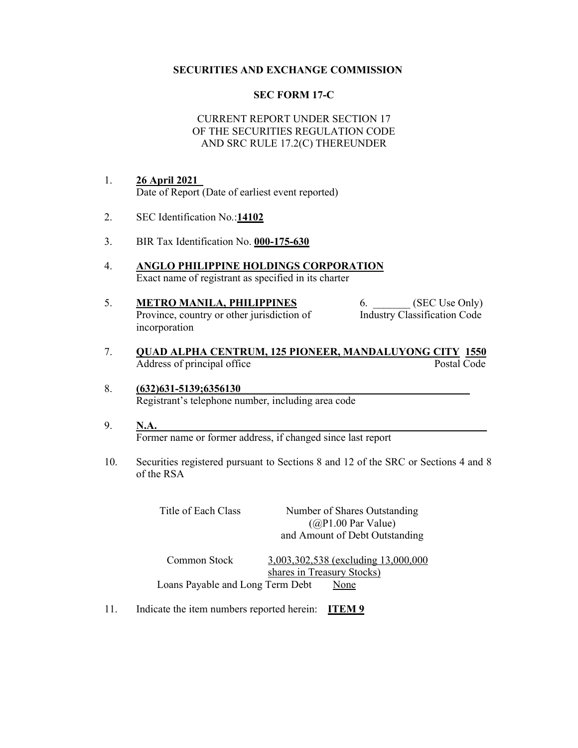## SECURITIES AND EXCHANGE COMMISSION

## SEC FORM 17-C

## CURRENT REPORT UNDER SECTION 17 OF THE SECURITIES REGULATION CODE AND SRC RULE 17.2(C) THEREUNDER

- 1. 26 April 2021\_ Date of Report (Date of earliest event reported)
- 2. SEC Identification No.:14102
- 3. BIR Tax Identification No. 000-175-630
- 4. ANGLO PHILIPPINE HOLDINGS CORPORATION Exact name of registrant as specified in its charter
- 5. **METRO MANILA, PHILIPPINES** 6. (SEC Use Only) Province, country or other jurisdiction of Industry Classification Code incorporation
- 7. QUAD ALPHA CENTRUM, 125 PIONEER, MANDALUYONG CITY 1550<br>Address of principal office Postal Code Address of principal office
- 8. (632) 631 5139; 635 6130 Registrant's telephone number, including area code
- 9.  $N.A.$ Former name or former address, if changed since last report
- 10. Securities registered pursuant to Sections 8 and 12 of the SRC or Sections 4 and 8 of the RSA

| Title of Each Class | Number of Shares Outstanding   |
|---------------------|--------------------------------|
|                     | $(QP1.00$ Par Value)           |
|                     | and Amount of Debt Outstanding |

Common Stock 3,003,302,538 (excluding 13,000,000 shares in Treasury Stocks) Loans Payable and Long Term Debt None

11. Indicate the item numbers reported herein: **ITEM 9**